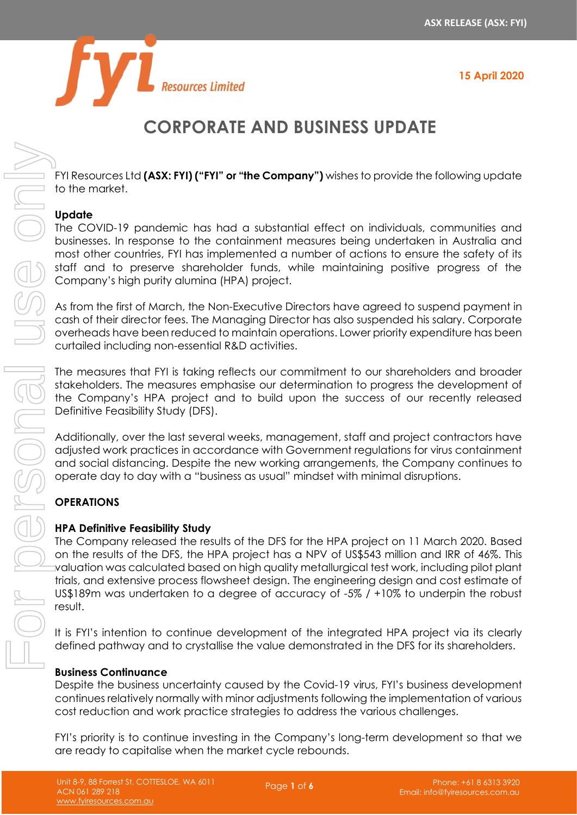

# **CORPORATE AND BUSINESS UPDATE**

FYI Resources Ltd **(ASX: FYI) ("FYI" or "the Company")** wishes to provide the following update to the market.

# **Update**

The COVID-19 pandemic has had a substantial effect on individuals, communities and businesses. In response to the containment measures being undertaken in Australia and most other countries, FYI has implemented a number of actions to ensure the safety of its staff and to preserve shareholder funds, while maintaining positive progress of the Company's high purity alumina (HPA) project.

As from the first of March, the Non-Executive Directors have agreed to suspend payment in cash of their director fees. The Managing Director has also suspended his salary. Corporate overheads have been reduced to maintain operations. Lower priority expenditure has been curtailed including non-essential R&D activities.

The measures that FYI is taking reflects our commitment to our shareholders and broader stakeholders. The measures emphasise our determination to progress the development of the Company's HPA project and to build upon the success of our recently released Definitive Feasibility Study (DFS).

Additionally, over the last several weeks, management, staff and project contractors have adjusted work practices in accordance with Government regulations for virus containment and social distancing. Despite the new working arrangements, the Company continues to operate day to day with a "business as usual" mindset with minimal disruptions.

# **OPERATIONS**

# **HPA Definitive Feasibility Study**

The Company released the results of the DFS for the HPA project on 11 March 2020. Based on the results of the DFS, the HPA project has a NPV of US\$543 million and IRR of 46%. This valuation was calculated based on high quality metallurgical test work, including pilot plant trials, and extensive process flowsheet design. The engineering design and cost estimate of US\$189m was undertaken to a degree of accuracy of -5% / +10% to underpin the robust result.

It is FYI's intention to continue development of the integrated HPA project via its clearly defined pathway and to crystallise the value demonstrated in the DFS for its shareholders.

# **Business Continuance**

Despite the business uncertainty caused by the Covid-19 virus, FYI's business development continues relatively normally with minor adjustments following the implementation of various cost reduction and work practice strategies to address the various challenges.

FYI's priority is to continue investing in the Company's long-term development so that we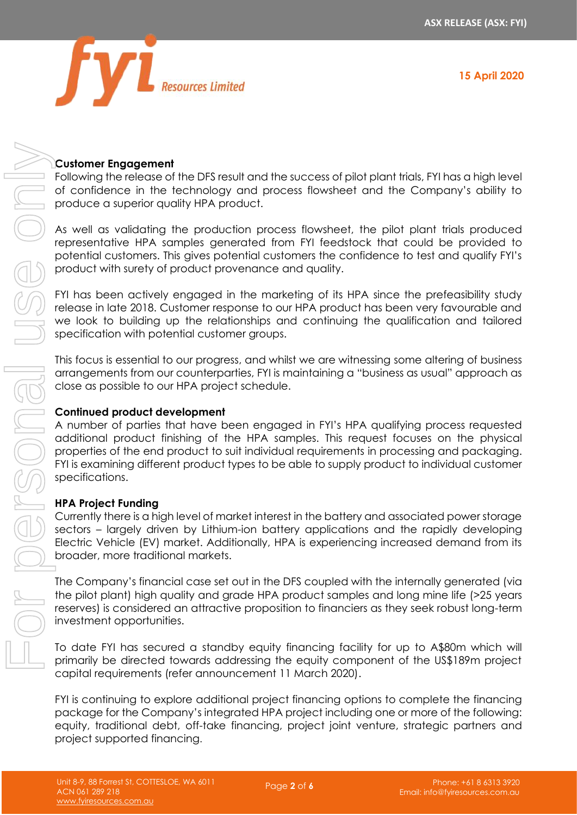

# **Customer Engagement**

Following the release of the DFS result and the success of pilot plant trials, FYI has a high level of confidence in the technology and process flowsheet and the Company's ability to produce a superior quality HPA product.

As well as validating the production process flowsheet, the pilot plant trials produced representative HPA samples generated from FYI feedstock that could be provided to potential customers. This gives potential customers the confidence to test and qualify FYI's product with surety of product provenance and quality.

FYI has been actively engaged in the marketing of its HPA since the prefeasibility study release in late 2018. Customer response to our HPA product has been very favourable and we look to building up the relationships and continuing the qualification and tailored specification with potential customer groups.

This focus is essential to our progress, and whilst we are witnessing some altering of business arrangements from our counterparties, FYI is maintaining a "business as usual" approach as close as possible to our HPA project schedule.

#### **Continued product development**

A number of parties that have been engaged in FYI's HPA qualifying process requested additional product finishing of the HPA samples. This request focuses on the physical properties of the end product to suit individual requirements in processing and packaging. FYI is examining different product types to be able to supply product to individual customer specifications.

#### **HPA Project Funding**

Currently there is a high level of market interest in the battery and associated power storage sectors – largely driven by Lithium-ion battery applications and the rapidly developing Electric Vehicle (EV) market. Additionally, HPA is experiencing increased demand from its broader, more traditional markets.

The Company's financial case set out in the DFS coupled with the internally generated (via the pilot plant) high quality and grade HPA product samples and long mine life (>25 years reserves) is considered an attractive proposition to financiers as they seek robust long-term investment opportunities.

To date FYI has secured a standby equity financing facility for up to A\$80m which will primarily be directed towards addressing the equity component of the US\$189m project capital requirements (refer announcement 11 March 2020).

FYI is continuing to explore additional project financing options to complete the financing package for the Company's integrated HPA project including one or more of the following: equity, traditional debt, off-take financing, project joint venture, strategic partners and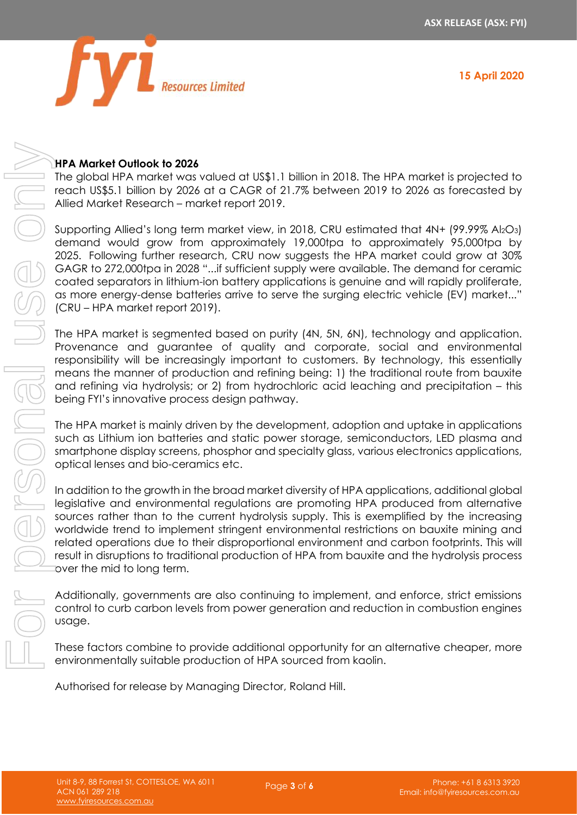

# The global HPA market was valued at US\$1.1 billion in 2018. The HPA market is projected to reach US\$5.1 billion by 2026 at a CAGR of 21.7% between 2019 to 2026 as forecasted by Allied Market Research – market report 2019.

Supporting Allied's long term market view, in 2018, CRU estimated that 4N+ (99.99% Al<sub>2</sub>O<sub>3</sub>) demand would grow from approximately 19,000tpa to approximately 95,000tpa by 2025. Following further research, CRU now suggests the HPA market could grow at 30% GAGR to 272,000tpa in 2028 "...if sufficient supply were available. The demand for ceramic coated separators in lithium-ion battery applications is genuine and will rapidly proliferate, as more energy-dense batteries arrive to serve the surging electric vehicle (EV) market..."

(CRU – HPA market report 2019).

The HPA market is segmented based on purity (4N, 5N, 6N), technology and application. Provenance and guarantee of quality and corporate, social and environmental responsibility will be increasingly important to customers. By technology, this essentially means the manner of production and refining being: 1) the traditional route from bauxite and refining via hydrolysis; or 2) from hydrochloric acid leaching and precipitation – this being FYI's innovative process design pathway.

The HPA market is mainly driven by the development, adoption and uptake in applications such as Lithium ion batteries and static power storage, semiconductors, LED plasma and smartphone display screens, phosphor and specialty glass, various electronics applications, optical lenses and bio-ceramics etc.

In addition to the growth in the broad market diversity of HPA applications, additional global legislative and environmental regulations are promoting HPA produced from alternative sources rather than to the current hydrolysis supply. This is exemplified by the increasing worldwide trend to implement stringent environmental restrictions on bauxite mining and related operations due to their disproportional environment and carbon footprints. This will result in disruptions to traditional production of HPA from bauxite and the hydrolysis process over the mid to long term.

Additionally, governments are also continuing to implement, and enforce, strict emissions control to curb carbon levels from power generation and reduction in combustion engines usage.

These factors combine to provide additional opportunity for an alternative cheaper, more environmentally suitable production of HPA sourced from kaolin.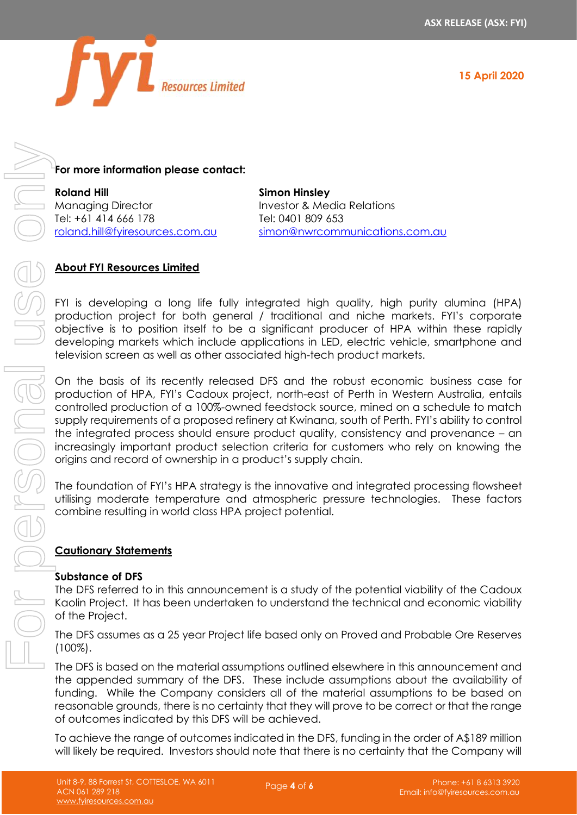

# **For more information please contact:**

**Roland Hill** Managing Director Tel: +61 414 666 178 [roland.hill@fyiresources.com.au](mailto:roland.hill@fyiresources.com.au)

**Simon Hinsley** Investor & Media Relations Tel: 0401 809 653 [simon@nwrcommunications.com.au](mailto:simon@nwrcommunications.com.au)

# **About FYI Resources Limited**

FYI is developing a long life fully integrated high quality, high purity alumina (HPA) production project for both general / traditional and niche markets. FYI's corporate objective is to position itself to be a significant producer of HPA within these rapidly developing markets which include applications in LED, electric vehicle, smartphone and television screen as well as other associated high-tech product markets.

On the basis of its recently released DFS and the robust economic business case for production of HPA, FYI's Cadoux project, north-east of Perth in Western Australia, entails controlled production of a 100%-owned feedstock source, mined on a schedule to match supply requirements of a proposed refinery at Kwinana, south of Perth. FYI's ability to control the integrated process should ensure product quality, consistency and provenance – an increasingly important product selection criteria for customers who rely on knowing the origins and record of ownership in a product's supply chain. For more information pieses contact:<br>
Moreovice that investors include the company will be required.<br>
Moreovice that the company include the required intervention of the company will be required.<br>
(a) About PVI be required

The foundation of FYI's HPA strategy is the innovative and integrated processing flowsheet utilising moderate temperature and atmospheric pressure technologies. These factors combine resulting in world class HPA project potential.

# **Cautionary Statements**

#### **Substance of DFS**

The DFS referred to in this announcement is a study of the potential viability of the Cadoux Kaolin Project. It has been undertaken to understand the technical and economic viability of the Project.

The DFS assumes as a 25 year Project life based only on Proved and Probable Ore Reserves (100%).

The DFS is based on the material assumptions outlined elsewhere in this announcement and the appended summary of the DFS. These include assumptions about the availability of funding. While the Company considers all of the material assumptions to be based on reasonable grounds, there is no certainty that they will prove to be correct or that the range of outcomes indicated by this DFS will be achieved.

To achieve the range of outcomes indicated in the DFS, funding in the order of A\$189 million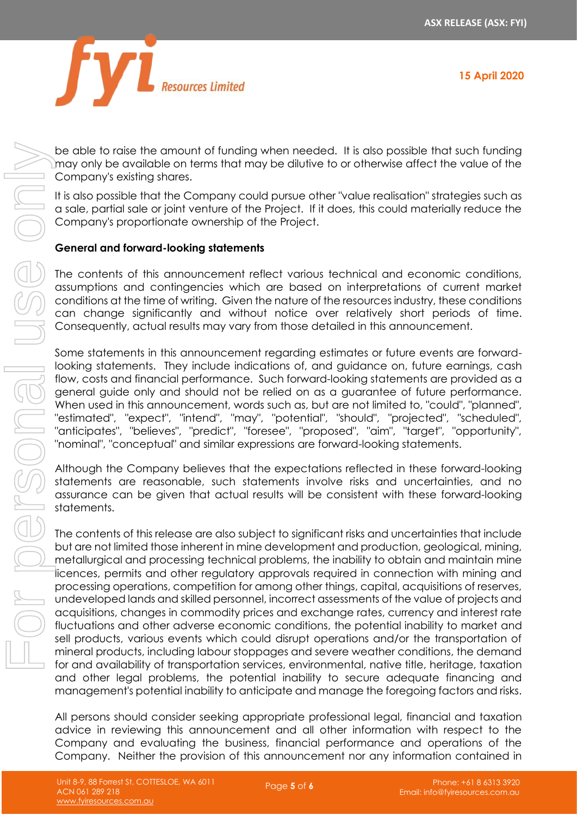



be able to raise the amount of funding when needed. It is also possible that such funding may only be available on terms that may be dilutive to or otherwise affect the value of the Company's existing shares.

It is also possible that the Company could pursue other "value realisation" strategies such as a sale, partial sale or joint venture of the Project. If it does, this could materially reduce the Company's proportionate ownership of the Project.

# **General and forward-looking statements**

The contents of this announcement reflect various technical and economic conditions, assumptions and contingencies which are based on interpretations of current market conditions at the time of writing. Given the nature of the resources industry, these conditions can change significantly and without notice over relatively short periods of time. Consequently, actual results may vary from those detailed in this announcement.

Some statements in this announcement regarding estimates or future events are forwardlooking statements. They include indications of, and guidance on, future earnings, cash flow, costs and financial performance. Such forward-looking statements are provided as a general guide only and should not be relied on as a guarantee of future performance. When used in this announcement, words such as, but are not limited to, "could", "planned", "estimated", "expect", "intend", "may", "potential", "should", "projected", "scheduled", "anticipates", "believes", "predict", "foresee", "proposed", "aim", "target", "opportunity", "nominal", "conceptual" and similar expressions are forward-looking statements.

Although the Company believes that the expectations reflected in these forward-looking statements are reasonable, such statements involve risks and uncertainties, and no assurance can be given that actual results will be consistent with these forward-looking statements.

The contents of this release are also subject to significant risks and uncertainties that include but are not limited those inherent in mine development and production, geological, mining, metallurgical and processing technical problems, the inability to obtain and maintain mine licences, permits and other regulatory approvals required in connection with mining and processing operations, competition for among other things, capital, acquisitions of reserves, undeveloped lands and skilled personnel, incorrect assessments of the value of projects and acquisitions, changes in commodity prices and exchange rates, currency and interest rate fluctuations and other adverse economic conditions, the potential inability to market and sell products, various events which could disrupt operations and/or the transportation of mineral products, including labour stoppages and severe weather conditions, the demand for and availability of transportation services, environmental, native title, heritage, taxation and other legal problems, the potential inability to secure adequate financing and management's potential inability to anticipate and manage the foregoing factors and risks. Company, the statistical contained in the provision of the provision of the provision of the provision of the provision of the provision of the provision of the provision of the provision of the provision of the provision

All persons should consider seeking appropriate professional legal, financial and taxation advice in reviewing this announcement and all other information with respect to the Company and evaluating the business, financial performance and operations of the